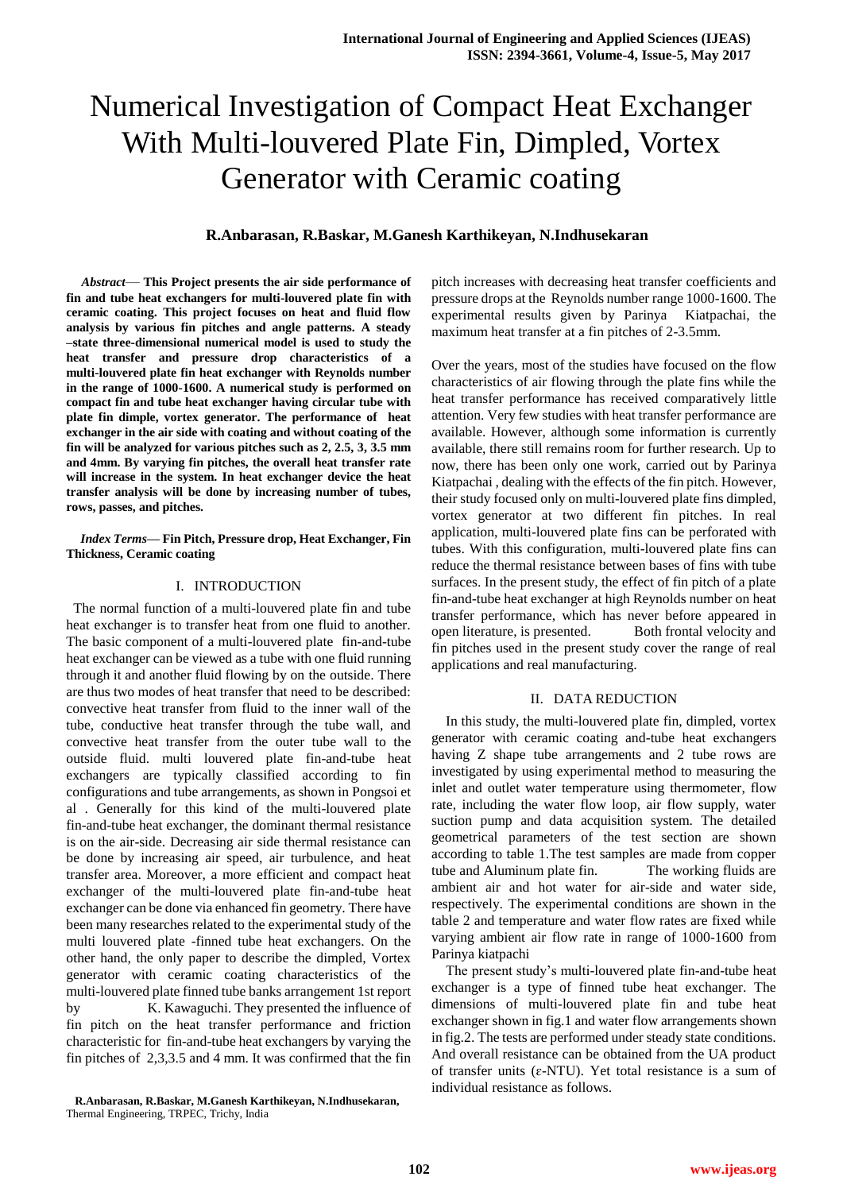# Numerical Investigation of Compact Heat Exchanger With Multi-louvered Plate Fin, Dimpled, Vortex Generator with Ceramic coating

# **R.Anbarasan, R.Baskar, M.Ganesh Karthikeyan, N.Indhusekaran**

*Abstract*— **This Project presents the air side performance of fin and tube heat exchangers for multi-louvered plate fin with ceramic coating. This project focuses on heat and fluid flow analysis by various fin pitches and angle patterns. A steady –state three-dimensional numerical model is used to study the heat transfer and pressure drop characteristics of a multi-louvered plate fin heat exchanger with Reynolds number in the range of 1000-1600. A numerical study is performed on compact fin and tube heat exchanger having circular tube with plate fin dimple, vortex generator. The performance of heat exchanger in the air side with coating and without coating of the fin will be analyzed for various pitches such as 2, 2.5, 3, 3.5 mm and 4mm. By varying fin pitches, the overall heat transfer rate will increase in the system. In heat exchanger device the heat transfer analysis will be done by increasing number of tubes, rows, passes, and pitches.**

*Index Terms***— Fin Pitch, Pressure drop, Heat Exchanger, Fin Thickness, Ceramic coating**

## I. INTRODUCTION

 The normal function of a multi-louvered plate fin and tube heat exchanger is to transfer heat from one fluid to another. The basic component of a multi-louvered plate fin-and-tube heat exchanger can be viewed as a tube with one fluid running through it and another fluid flowing by on the outside. There are thus two modes of heat transfer that need to be described: convective heat transfer from fluid to the inner wall of the tube, conductive heat transfer through the tube wall, and convective heat transfer from the outer tube wall to the outside fluid. multi louvered plate fin-and-tube heat exchangers are typically classified according to fin configurations and tube arrangements, as shown in Pongsoi et al . Generally for this kind of the multi-louvered plate fin-and-tube heat exchanger, the dominant thermal resistance is on the air-side. Decreasing air side thermal resistance can be done by increasing air speed, air turbulence, and heat transfer area. Moreover, a more efficient and compact heat exchanger of the multi-louvered plate fin-and-tube heat exchanger can be done via enhanced fin geometry. There have been many researches related to the experimental study of the multi louvered plate -finned tube heat exchangers. On the other hand, the only paper to describe the dimpled, Vortex generator with ceramic coating characteristics of the multi-louvered plate finned tube banks arrangement 1st report by K. Kawaguchi. They presented the influence of fin pitch on the heat transfer performance and friction characteristic for fin-and-tube heat exchangers by varying the fin pitches of 2,3,3.5 and 4 mm. It was confirmed that the fin

 **R.Anbarasan, R.Baskar, M.Ganesh Karthikeyan, N.Indhusekaran,**  Thermal Engineering, TRPEC, Trichy, India

pitch increases with decreasing heat transfer coefficients and pressure drops at the Reynolds number range 1000-1600. The experimental results given by Parinya Kiatpachai, the maximum heat transfer at a fin pitches of 2-3.5mm.

Over the years, most of the studies have focused on the flow characteristics of air flowing through the plate fins while the heat transfer performance has received comparatively little attention. Very few studies with heat transfer performance are available. However, although some information is currently available, there still remains room for further research. Up to now, there has been only one work, carried out by Parinya Kiatpachai , dealing with the effects of the fin pitch. However, their study focused only on multi-louvered plate fins dimpled, vortex generator at two different fin pitches. In real application, multi-louvered plate fins can be perforated with tubes. With this configuration, multi-louvered plate fins can reduce the thermal resistance between bases of fins with tube surfaces. In the present study, the effect of fin pitch of a plate fin-and-tube heat exchanger at high Reynolds number on heat transfer performance, which has never before appeared in open literature, is presented. Both frontal velocity and fin pitches used in the present study cover the range of real applications and real manufacturing.

## II. DATA REDUCTION

In this study, the multi-louvered plate fin, dimpled, vortex generator with ceramic coating and-tube heat exchangers having Z shape tube arrangements and 2 tube rows are investigated by using experimental method to measuring the inlet and outlet water temperature using thermometer, flow rate, including the water flow loop, air flow supply, water suction pump and data acquisition system. The detailed geometrical parameters of the test section are shown according to table 1.The test samples are made from copper tube and Aluminum plate fin. The working fluids are ambient air and hot water for air-side and water side, respectively. The experimental conditions are shown in the table 2 and temperature and water flow rates are fixed while varying ambient air flow rate in range of 1000-1600 from Parinya kiatpachi

The present study's multi-louvered plate fin-and-tube heat exchanger is a type of finned tube heat exchanger. The dimensions of multi-louvered plate fin and tube heat exchanger shown in fig.1 and water flow arrangements shown in fig.2. The tests are performed under steady state conditions. And overall resistance can be obtained from the UA product of transfer units ( $\varepsilon$ -NTU). Yet total resistance is a sum of individual resistance as follows.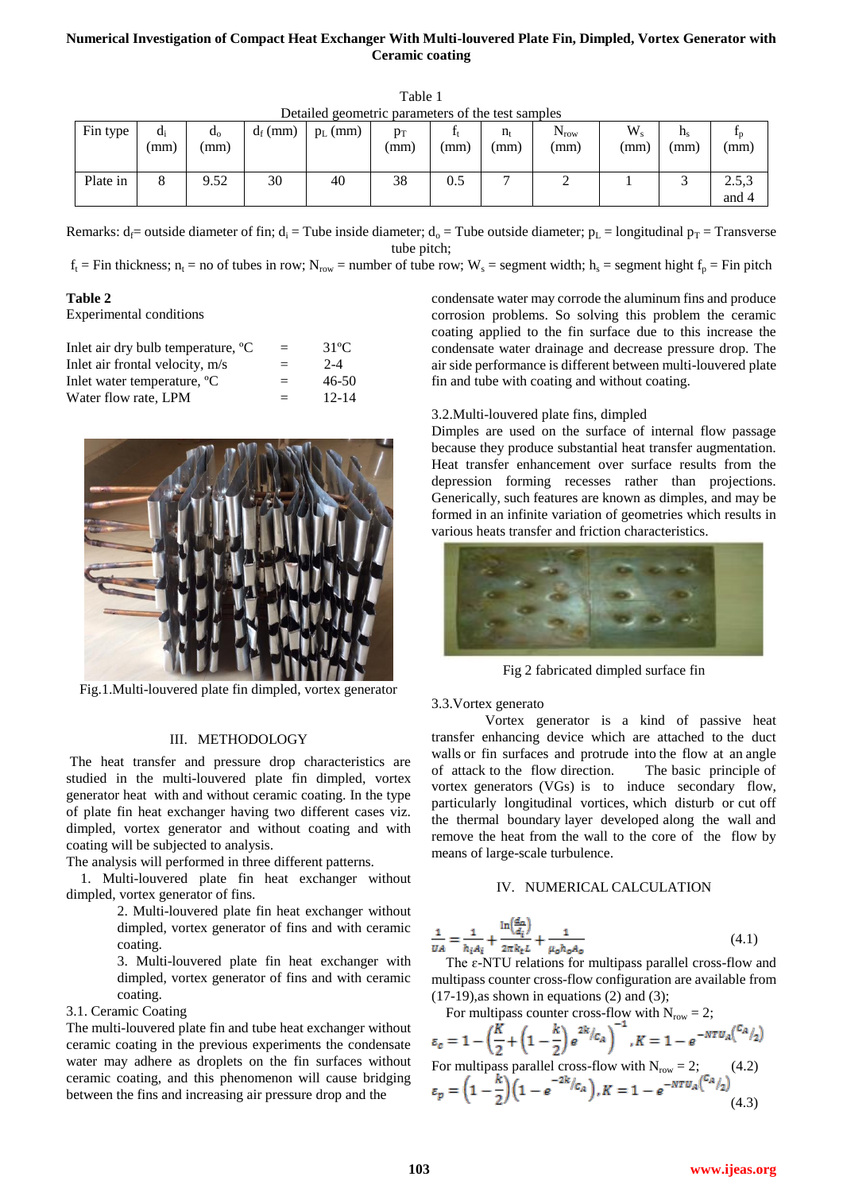# **Numerical Investigation of Compact Heat Exchanger With Multi-louvered Plate Fin, Dimpled, Vortex Generator with Ceramic coating**

| Fin type | $d_i$<br>(mm) | $d_0$<br>(mm) | $d_f$ (mm) | $p_L$ (mm) | $p_T$<br>(mm) | (mm) | $n_{t}$<br>(mm) | $\mathbf{v}_{\text{row}}$<br>(mm) | W.<br>(mm) | $\mathbf{u}_\mathbf{s}$<br>(mm) | $\mathbf{r}_{\text{D}}$<br>(mm) |
|----------|---------------|---------------|------------|------------|---------------|------|-----------------|-----------------------------------|------------|---------------------------------|---------------------------------|
| Plate in |               | 9.52          | 30         | 40         | 38            | 0.5  |                 | ∸                                 |            | ◡                               | 2.5,3<br>and 4                  |

Table 1 Detailed geometric parameters of the test samples

Remarks:  $d_f$  = outside diameter of fin;  $d_i$  = Tube inside diameter;  $d_o$  = Tube outside diameter;  $p_L$  = longitudinal  $p_T$  = Transverse tube pitch;

 $f_t$  = Fin thickness;  $n_t$  = no of tubes in row;  $N_{row}$  = number of tube row;  $W_s$  = segment width;  $h_s$  = segment hight  $f_p$  = Fin pitch

# **Table 2**

Experimental conditions

| Inlet air dry bulb temperature, °C      | $=$ | $31^{\circ}$ C |
|-----------------------------------------|-----|----------------|
| Inlet air frontal velocity, m/s         | $=$ | $2 - 4$        |
| Inlet water temperature, <sup>o</sup> C | $=$ | 46-50          |
| Water flow rate, LPM                    | $=$ | $12 - 14$      |



Fig.1.Multi-louvered plate fin dimpled, vortex generator

## III. METHODOLOGY

The heat transfer and pressure drop characteristics are studied in the multi-louvered plate fin dimpled, vortex generator heat with and without ceramic coating. In the type of plate fin heat exchanger having two different cases viz. dimpled, vortex generator and without coating and with coating will be subjected to analysis.

The analysis will performed in three different patterns.

1. Multi-louvered plate fin heat exchanger without dimpled, vortex generator of fins.

> 2. Multi-louvered plate fin heat exchanger without dimpled, vortex generator of fins and with ceramic coating.

> 3. Multi-louvered plate fin heat exchanger with dimpled, vortex generator of fins and with ceramic coating.

## 3.1. Ceramic Coating

The multi-louvered plate fin and tube heat exchanger without ceramic coating in the previous experiments the condensate water may adhere as droplets on the fin surfaces without ceramic coating, and this phenomenon will cause bridging between the fins and increasing air pressure drop and the

condensate water may corrode the aluminum fins and produce corrosion problems. So solving this problem the ceramic coating applied to the fin surface due to this increase the condensate water drainage and decrease pressure drop. The air side performance is different between multi-louvered plate fin and tube with coating and without coating.

## 3.2.Multi-louvered plate fins, dimpled

Dimples are used on the surface of internal flow passage because they produce substantial heat transfer augmentation. Heat transfer enhancement over surface results from the depression forming recesses rather than projections. Generically, such features are known as dimples, and may be formed in an infinite variation of geometries which results in various heats transfer and friction characteristics.



Fig 2 fabricated dimpled surface fin

#### 3.3.Vortex generato

 Vortex generator is a kind of passive heat transfer enhancing device which are attached to the duct walls or fin surfaces and protrude into the flow at an angle of attack to the flow direction. The basic principle of vortex generators (VGs) is to induce secondary flow, particularly longitudinal vortices, which disturb or cut off the thermal boundary layer developed along the wall and remove the heat from the wall to the core of the flow by means of large-scale turbulence.

#### IV. NUMERICAL CALCULATION

$$
\frac{1}{\nu A} = \frac{1}{h_i A_i} + \frac{\ln(\frac{d_a}{d_i})}{2\pi k_t L} + \frac{1}{\mu_o h_o A_o}
$$
(4.1)

The  $\varepsilon$ -NTU relations for multipass parallel cross-flow and multipass counter cross-flow configuration are available from  $(17-19)$ , as shown in equations  $(2)$  and  $(3)$ ;

For multipass counter cross-flow with N<sub>row</sub> = 2;  
\n
$$
\varepsilon_c = 1 - \left(\frac{K}{2} + \left(1 - \frac{k}{2}\right)e^{2k}/c_A\right)^{-1}, K = 1 - e^{-NTU_A\left(\frac{C_A}{2}\right)}
$$
\nFor multipass parallel cross-flow with N<sub>row</sub> = 2; (4.2)  
\n
$$
\varepsilon_p = \left(1 - \frac{k}{2}\right)\left(1 - e^{-2k}/c_A\right), K = 1 - e^{-NTU_A\left(\frac{C_A}{2}\right)}\tag{4.3}
$$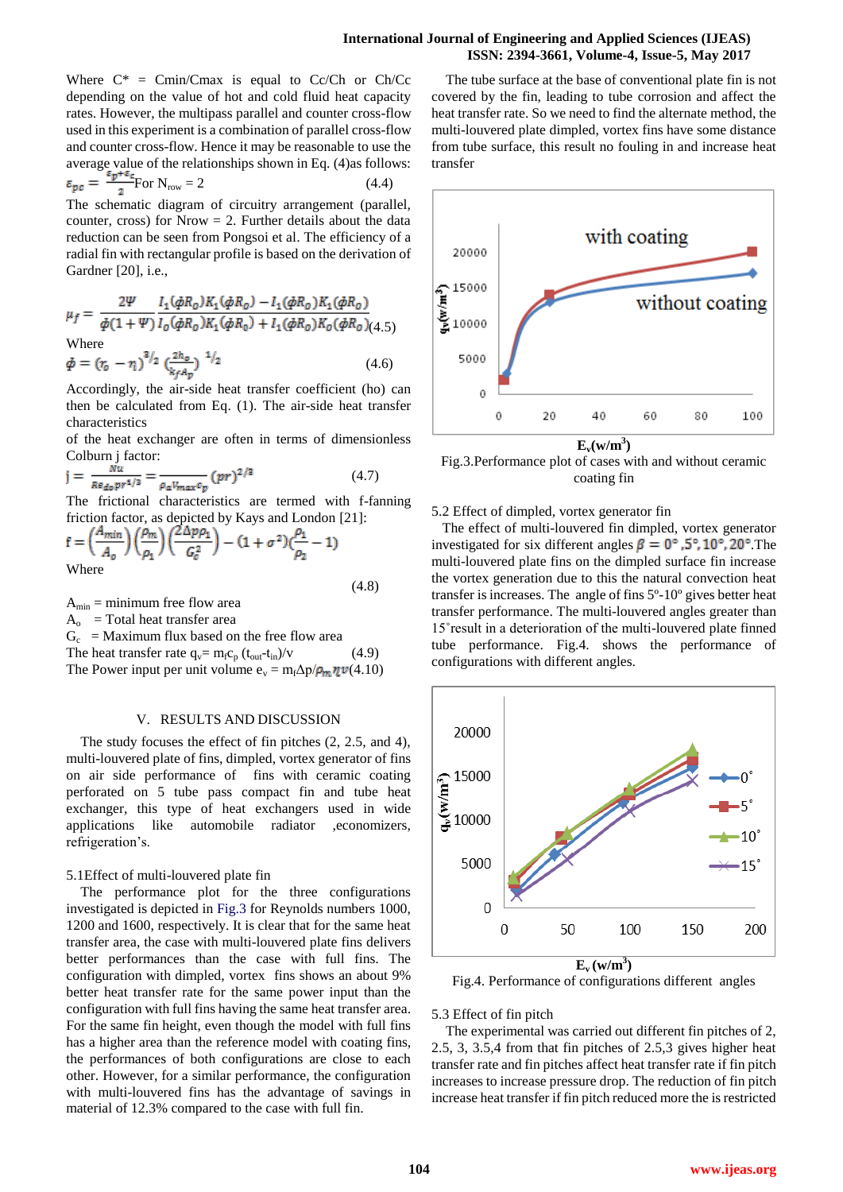## **International Journal of Engineering and Applied Sciences (IJEAS) ISSN: 2394-3661, Volume-4, Issue-5, May 2017**

Where  $C^*$  = Cmin/Cmax is equal to Cc/Ch or Ch/Cc depending on the value of hot and cold fluid heat capacity rates. However, the multipass parallel and counter cross-flow used in this experiment is a combination of parallel cross-flow and counter cross-flow. Hence it may be reasonable to use the average value of the relationships shown in Eq. (4)as follows:

$$
\varepsilon_{\mathbf{p}\mathbf{c}} = \frac{2\mathbf{p} \cdot \mathbf{c}}{2} \text{For } \mathbf{N}_{\text{row}} = 2 \tag{4.4}
$$

The schematic diagram of circuitry arrangement (parallel, counter, cross) for Nrow  $= 2$ . Further details about the data reduction can be seen from Pongsoi et al. The efficiency of a radial fin with rectangular profile is based on the derivation of Gardner [20], i.e.,

$$
\mu_f = \frac{2\Psi}{\phi(1+\Psi)} \frac{I_1(\phi R_0) K_1(\phi R_0) - I_1(\phi R_0) K_1(\phi R_0)}{I_0(\phi R_0) K_1(\phi R_0) + I_1(\phi R_0) K_0(\phi R_0)} (4.5)
$$
  
Where  

$$
\phi = (r_0 - r_1)^{3/2} \left(\frac{2h_0}{h_0} \right)^{-1/2} (4.6)
$$

 $k_f A_p$ 

Accordingly, the air-side heat transfer coefficient (ho) can then be calculated from Eq. (1). The air-side heat transfer characteristics

of the heat exchanger are often in terms of dimensionless Colburn j factor:

$$
j = \frac{\dot{N}u}{Re_{do}pr^{1/3}} = \frac{1}{\rho_a V_{max}c_p} (pr)^{2/3}
$$
 (4.7)

The frictional characteristics are termed with f-fanning friction factor, as depicted by Kays and London [21]:

$$
f = \left(\frac{A_{min}}{A_o}\right) \left(\frac{\rho_m}{\rho_1}\right) \left(\frac{2\Delta p \rho_1}{G_c^2}\right) - (1 + \sigma^2) \left(\frac{\rho_1}{\rho_2} - 1\right)
$$
  
Where

(4.8)

 $A_{\min}$  = minimum free flow area

 $A_0$  = Total heat transfer area

 $G_c$  = Maximum flux based on the free flow area The heat transfer rate  $q_v = m_f c_p (t_{out} - t_{in})/v$  (4.9)

The Power input per unit volume  $e_v = m_f \Delta p / \rho_m \eta \nu(4.10)$ 

# V. RESULTS AND DISCUSSION

The study focuses the effect of fin pitches (2, 2.5, and 4), multi-louvered plate of fins, dimpled, vortex generator of fins on air side performance of fins with ceramic coating perforated on 5 tube pass compact fin and tube heat exchanger, this type of heat exchangers used in wide applications like automobile radiator ,economizers, refrigeration's.

## 5.1Effect of multi-louvered plate fin

The performance plot for the three configurations investigated is depicted in Fig.3 for Reynolds numbers 1000, 1200 and 1600, respectively. It is clear that for the same heat transfer area, the case with multi-louvered plate fins delivers better performances than the case with full fins. The configuration with dimpled, vortex fins shows an about 9% better heat transfer rate for the same power input than the configuration with full fins having the same heat transfer area. For the same fin height, even though the model with full fins has a higher area than the reference model with coating fins, the performances of both configurations are close to each other. However, for a similar performance, the configuration with multi-louvered fins has the advantage of savings in material of 12.3% compared to the case with full fin.

The tube surface at the base of conventional plate fin is not covered by the fin, leading to tube corrosion and affect the heat transfer rate. So we need to find the alternate method, the multi-louvered plate dimpled, vortex fins have some distance from tube surface, this result no fouling in and increase heat transfer



Fig.3.Performance plot of cases with and without ceramic coating fin

#### 5.2 Effect of dimpled, vortex generator fin

 The effect of multi-louvered fin dimpled, vortex generator investigated for six different angles  $\beta = 0^{\circ}$ , 5°, 10°, 20°. The multi-louvered plate fins on the dimpled surface fin increase the vortex generation due to this the natural convection heat transfer is increases. The angle of fins 5º-10º gives better heat transfer performance. The multi-louvered angles greater than 15˚result in a deterioration of the multi-louvered plate finned tube performance. Fig.4. shows the performance of configurations with different angles.



Fig.4. Performance of configurations different angles

5.3 Effect of fin pitch

The experimental was carried out different fin pitches of 2, 2.5, 3, 3.5,4 from that fin pitches of 2.5,3 gives higher heat transfer rate and fin pitches affect heat transfer rate if fin pitch increases to increase pressure drop. The reduction of fin pitch increase heat transfer if fin pitch reduced more the is restricted